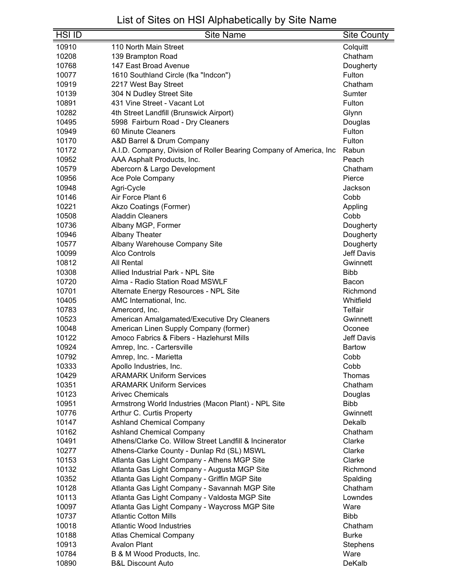| <b>HSI ID</b> | <b>Site Name</b>                                                                               | <b>Site County</b>      |
|---------------|------------------------------------------------------------------------------------------------|-------------------------|
| 10910         | 110 North Main Street                                                                          | Colquitt                |
| 10208         | 139 Brampton Road                                                                              | Chatham                 |
| 10768         | 147 East Broad Avenue                                                                          | Dougherty               |
| 10077         | 1610 Southland Circle (fka "Indcon")                                                           | Fulton                  |
| 10919         | 2217 West Bay Street                                                                           | Chatham                 |
| 10139         | 304 N Dudley Street Site                                                                       | Sumter                  |
| 10891         | 431 Vine Street - Vacant Lot                                                                   | Fulton                  |
| 10282         | 4th Street Landfill (Brunswick Airport)                                                        | Glynn                   |
| 10495         | 5998 Fairburn Road - Dry Cleaners                                                              | Douglas                 |
| 10949         | 60 Minute Cleaners                                                                             | Fulton                  |
| 10170         | A&D Barrel & Drum Company                                                                      | Fulton                  |
| 10172         | A.I.D. Company, Division of Roller Bearing Company of America, Inc                             | Rabun                   |
| 10952         | AAA Asphalt Products, Inc.                                                                     | Peach                   |
| 10579         | Abercorn & Largo Development                                                                   | Chatham                 |
| 10956         | Ace Pole Company                                                                               | Pierce                  |
| 10948         | Agri-Cycle                                                                                     | Jackson                 |
| 10146         | Air Force Plant 6                                                                              | Cobb                    |
| 10221         | Akzo Coatings (Former)                                                                         | Appling                 |
| 10508         | <b>Aladdin Cleaners</b>                                                                        | Cobb                    |
| 10736         | Albany MGP, Former                                                                             | Dougherty               |
| 10946         | <b>Albany Theater</b>                                                                          | Dougherty               |
| 10577         | Albany Warehouse Company Site                                                                  | Dougherty               |
| 10099         | <b>Alco Controls</b>                                                                           | <b>Jeff Davis</b>       |
| 10812         | <b>All Rental</b>                                                                              | Gwinnett                |
| 10308         | Allied Industrial Park - NPL Site                                                              | <b>Bibb</b>             |
| 10720         | Alma - Radio Station Road MSWLF                                                                | Bacon                   |
| 10701         | Alternate Energy Resources - NPL Site                                                          | Richmond                |
| 10405         | AMC International, Inc.                                                                        | Whitfield               |
| 10783         | Amercord, Inc.                                                                                 | Telfair                 |
| 10523         | American Amalgamated/Executive Dry Cleaners                                                    | Gwinnett                |
| 10048         | American Linen Supply Company (former)                                                         | Oconee                  |
| 10122         | Amoco Fabrics & Fibers - Hazlehurst Mills                                                      | <b>Jeff Davis</b>       |
| 10924         | Amrep, Inc. - Cartersville                                                                     | <b>Bartow</b>           |
| 10792         | Amrep, Inc. - Marietta                                                                         | Cobb                    |
| 10333         | Apollo Industries, Inc.                                                                        | Cobb                    |
| 10429         | <b>ARAMARK Uniform Services</b>                                                                | Thomas                  |
| 10351         | <b>ARAMARK Uniform Services</b>                                                                | Chatham                 |
| 10123         | <b>Arivec Chemicals</b>                                                                        | Douglas                 |
| 10951         | Armstrong World Industries (Macon Plant) - NPL Site                                            | <b>Bibb</b>             |
| 10776         | Arthur C. Curtis Property                                                                      | Gwinnett                |
| 10147         | <b>Ashland Chemical Company</b>                                                                | Dekalb                  |
| 10162         | <b>Ashland Chemical Company</b>                                                                | Chatham                 |
| 10491         | Athens/Clarke Co. Willow Street Landfill & Incinerator                                         | Clarke                  |
| 10277         | Athens-Clarke County - Dunlap Rd (SL) MSWL                                                     | Clarke                  |
| 10153         | Atlanta Gas Light Company - Athens MGP Site                                                    | Clarke                  |
| 10132         | Atlanta Gas Light Company - Augusta MGP Site                                                   | Richmond                |
| 10352         | Atlanta Gas Light Company - Griffin MGP Site                                                   | Spalding                |
| 10128         |                                                                                                | Chatham                 |
| 10113         | Atlanta Gas Light Company - Savannah MGP Site<br>Atlanta Gas Light Company - Valdosta MGP Site | Lowndes                 |
| 10097         | Atlanta Gas Light Company - Waycross MGP Site                                                  | Ware                    |
| 10737         | <b>Atlantic Cotton Mills</b>                                                                   | <b>Bibb</b>             |
| 10018         | <b>Atlantic Wood Industries</b>                                                                | Chatham                 |
| 10188         |                                                                                                | <b>Burke</b>            |
| 10913         | <b>Atlas Chemical Company</b><br><b>Avalon Plant</b>                                           |                         |
| 10784         | B & M Wood Products, Inc.                                                                      | <b>Stephens</b><br>Ware |
| 10890         | <b>B&amp;L Discount Auto</b>                                                                   | DeKalb                  |
|               |                                                                                                |                         |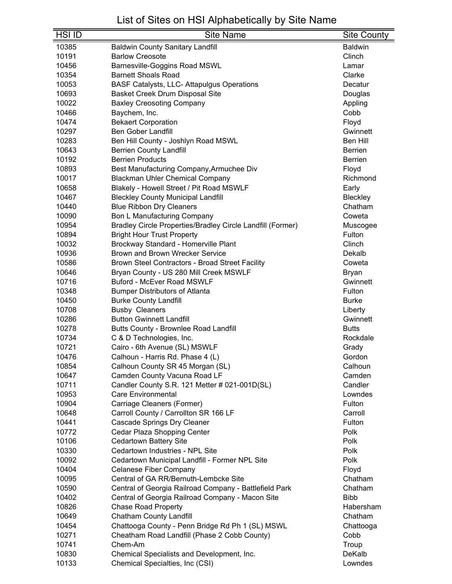| <b>HSI ID</b> | <b>Site Name</b>                                           | Site County    |
|---------------|------------------------------------------------------------|----------------|
| 10385         | <b>Baldwin County Sanitary Landfill</b>                    | <b>Baldwin</b> |
| 10191         | <b>Barlow Creosote</b>                                     | Clinch         |
| 10456         | Barnesville-Goggins Road MSWL                              | Lamar          |
| 10354         | <b>Barnett Shoals Road</b>                                 | Clarke         |
| 10053         | <b>BASF Catalysts, LLC- Attapulgus Operations</b>          | Decatur        |
| 10693         | Basket Creek Drum Disposal Site                            | Douglas        |
| 10022         | <b>Baxley Creosoting Company</b>                           | Appling        |
| 10466         | Baychem, Inc.                                              | Cobb           |
| 10474         | <b>Bekaert Corporation</b>                                 | Floyd          |
| 10297         | <b>Ben Gober Landfill</b>                                  | Gwinnett       |
| 10283         | Ben Hill County - Joshlyn Road MSWL                        | Ben Hill       |
| 10643         | <b>Berrien County Landfill</b>                             | <b>Berrien</b> |
| 10192         | <b>Berrien Products</b>                                    | <b>Berrien</b> |
| 10893         | Best Manufacturing Company, Armuchee Div                   | Floyd          |
| 10017         | <b>Blackman Uhler Chemical Company</b>                     | Richmond       |
| 10658         | Blakely - Howell Street / Pit Road MSWLF                   | Early          |
| 10467         | <b>Bleckley County Municipal Landfill</b>                  | Bleckley       |
| 10440         | <b>Blue Ribbon Dry Cleaners</b>                            | Chatham        |
| 10090         | <b>Bon L Manufacturing Company</b>                         | Coweta         |
| 10954         | Bradley Circle Properties/Bradley Circle Landfill (Former) | Muscogee       |
| 10894         | <b>Bright Hour Trust Property</b>                          | Fulton         |
| 10032         | Brockway Standard - Homerville Plant                       | Clinch         |
| 10936         | Brown and Brown Wrecker Service                            | Dekalb         |
| 10586         | Brown Steel Contractors - Broad Street Facility            | Coweta         |
| 10646         | Bryan County - US 280 Mill Creek MSWLF                     | <b>Bryan</b>   |
| 10716         | <b>Buford - McEver Road MSWLF</b>                          | Gwinnett       |
| 10348         | <b>Bumper Distributors of Atlanta</b>                      | Fulton         |
| 10450         | <b>Burke County Landfill</b>                               | <b>Burke</b>   |
| 10708         | <b>Busby Cleaners</b>                                      | Liberty        |
| 10286         | <b>Button Gwinnett Landfill</b>                            | Gwinnett       |
| 10278         | Butts County - Brownlee Road Landfill                      | <b>Butts</b>   |
| 10734         | C & D Technologies, Inc.                                   | Rockdale       |
| 10721         | Cairo - 6th Avenue (SL) MSWLF                              | Grady          |
| 10476         | Calhoun - Harris Rd. Phase 4 (L)                           | Gordon         |
| 10854         | Calhoun County SR 45 Morgan (SL)                           | Calhoun        |
| 10647         | Camden County Vacuna Road LF                               | Camden         |
| 10711         | Candler County S.R. 121 Metter # 021-001D(SL)              | Candler        |
| 10953         | <b>Care Environmental</b>                                  | Lowndes        |
| 10904         | Carriage Cleaners (Former)                                 | Fulton         |
| 10648         | Carroll County / Carrollton SR 166 LF                      | Carroll        |
| 10441         | Cascade Springs Dry Cleaner                                | Fulton         |
| 10772         | Cedar Plaza Shopping Center                                | Polk           |
| 10106         | <b>Cedartown Battery Site</b>                              | Polk           |
| 10330         | Cedartown Industries - NPL Site                            | Polk           |
| 10092         | Cedartown Municipal Landfill - Former NPL Site             | Polk           |
| 10404         | <b>Celanese Fiber Company</b>                              | Floyd          |
| 10095         | Central of GA RR/Bernuth-Lembcke Site                      | Chatham        |
| 10590         | Central of Georgia Railroad Company - Battlefield Park     | Chatham        |
| 10402         | Central of Georgia Railroad Company - Macon Site           | <b>Bibb</b>    |
| 10826         | <b>Chase Road Property</b>                                 | Habersham      |
| 10649         | <b>Chatham County Landfill</b>                             | Chatham        |
| 10454         | Chattooga County - Penn Bridge Rd Ph 1 (SL) MSWL           | Chattooga      |
| 10271         | Cheatham Road Landfill (Phase 2 Cobb County)               | Cobb           |
| 10741         | Chem-Am                                                    | Troup          |
| 10830         | Chemical Specialists and Development, Inc.                 | DeKalb         |
| 10133         | Chemical Specialties, Inc (CSI)                            | Lowndes        |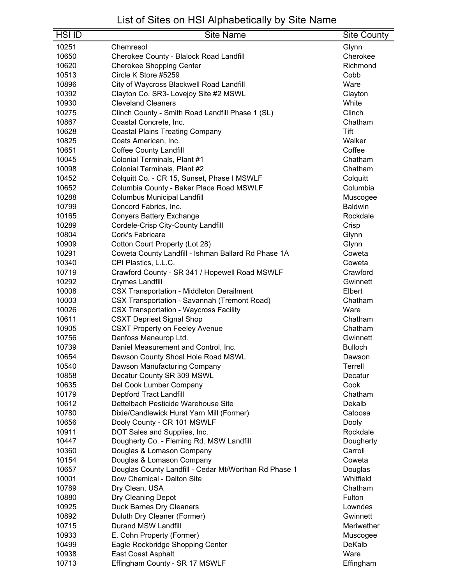| <b>HSI ID</b> | <b>Site Name</b>                                      | <b>Site County</b> |
|---------------|-------------------------------------------------------|--------------------|
| 10251         | Chemresol                                             | Glynn              |
| 10650         | Cherokee County - Blalock Road Landfill               | Cherokee           |
| 10620         | <b>Cherokee Shopping Center</b>                       | Richmond           |
| 10513         | Circle K Store #5259                                  | Cobb               |
| 10896         | City of Waycross Blackwell Road Landfill              | Ware               |
| 10392         | Clayton Co. SR3- Lovejoy Site #2 MSWL                 | Clayton            |
| 10930         | <b>Cleveland Cleaners</b>                             | White              |
| 10275         | Clinch County - Smith Road Landfill Phase 1 (SL)      | Clinch             |
| 10867         | Coastal Concrete, Inc.                                | Chatham            |
| 10628         | <b>Coastal Plains Treating Company</b>                | Tift               |
| 10825         | Coats American, Inc.                                  | Walker             |
| 10651         | <b>Coffee County Landfill</b>                         | Coffee             |
| 10045         | Colonial Terminals, Plant #1                          | Chatham            |
| 10098         | Colonial Terminals, Plant #2                          | Chatham            |
| 10452         | Colquitt Co. - CR 15, Sunset, Phase I MSWLF           | Colquitt           |
| 10652         | Columbia County - Baker Place Road MSWLF              | Columbia           |
| 10288         | <b>Columbus Municipal Landfill</b>                    | Muscogee           |
| 10799         | Concord Fabrics, Inc.                                 | <b>Baldwin</b>     |
| 10165         | <b>Conyers Battery Exchange</b>                       | Rockdale           |
| 10289         | Cordele-Crisp City-County Landfill                    | Crisp              |
| 10804         | Cork's Fabricare                                      | Glynn              |
| 10909         | Cotton Court Property (Lot 28)                        | Glynn              |
| 10291         | Coweta County Landfill - Ishman Ballard Rd Phase 1A   | Coweta             |
| 10340         | CPI Plastics, L.L.C.                                  | Coweta             |
| 10719         | Crawford County - SR 341 / Hopewell Road MSWLF        | Crawford           |
| 10292         | <b>Crymes Landfill</b>                                | Gwinnett           |
| 10008         | <b>CSX Transportation - Middleton Derailment</b>      | Elbert             |
| 10003         | <b>CSX Transportation - Savannah (Tremont Road)</b>   | Chatham            |
| 10026         | <b>CSX Transportation - Waycross Facility</b>         | Ware               |
| 10611         | <b>CSXT Depriest Signal Shop</b>                      | Chatham            |
| 10905         | <b>CSXT Property on Feeley Avenue</b>                 | Chatham            |
| 10756         | Danfoss Maneurop Ltd.                                 | Gwinnett           |
| 10739         | Daniel Measurement and Control, Inc.                  | <b>Bulloch</b>     |
| 10654         | Dawson County Shoal Hole Road MSWL                    | Dawson             |
| 10540         | Dawson Manufacturing Company                          | Terrell            |
| 10858         | Decatur County SR 309 MSWL                            | Decatur            |
| 10635         | Del Cook Lumber Company                               | Cook               |
| 10179         | <b>Deptford Tract Landfill</b>                        | Chatham            |
| 10612         | Dettelbach Pesticide Warehouse Site                   | Dekalb             |
| 10780         | Dixie/Candlewick Hurst Yarn Mill (Former)             | Catoosa            |
| 10656         | Dooly County - CR 101 MSWLF                           | Dooly              |
| 10911         | DOT Sales and Supplies, Inc.                          | Rockdale           |
| 10447         | Dougherty Co. - Fleming Rd. MSW Landfill              | Dougherty          |
| 10360         | Douglas & Lomason Company                             | Carroll            |
| 10154         | Douglas & Lomason Company                             | Coweta             |
| 10657         | Douglas County Landfill - Cedar Mt/Worthan Rd Phase 1 | Douglas            |
| 10001         | Dow Chemical - Dalton Site                            | Whitfield          |
| 10789         | Dry Clean, USA                                        | Chatham            |
| 10880         | Dry Cleaning Depot                                    | Fulton             |
| 10925         | Duck Barnes Dry Cleaners                              | Lowndes            |
| 10892         | Duluth Dry Cleaner (Former)                           | Gwinnett           |
| 10715         | <b>Durand MSW Landfill</b>                            | Meriwether         |
| 10933         | E. Cohn Property (Former)                             | Muscogee           |
| 10499         | Eagle Rockbridge Shopping Center                      | DeKalb             |
| 10938         | East Coast Asphalt                                    | Ware               |
| 10713         | Effingham County - SR 17 MSWLF                        | Effingham          |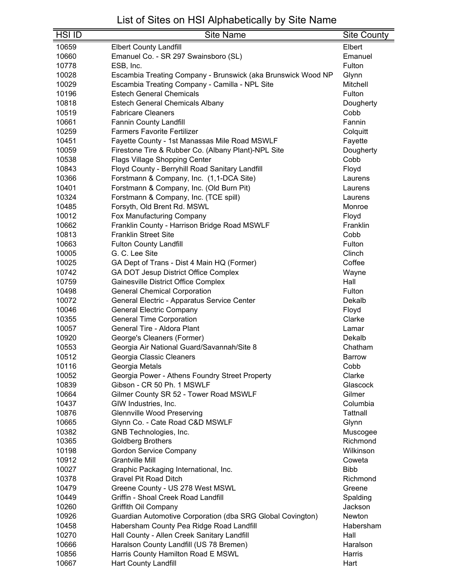| <b>HSI ID</b>  | <b>Site Name</b>                                                  | <b>Site County</b> |
|----------------|-------------------------------------------------------------------|--------------------|
| 10659          | <b>Elbert County Landfill</b>                                     | Elbert             |
| 10660          | Emanuel Co. - SR 297 Swainsboro (SL)                              | Emanuel            |
| 10778          | ESB, Inc.                                                         | Fulton             |
| 10028          | Escambia Treating Company - Brunswick (aka Brunswick Wood NP      | Glynn              |
| 10029          | Escambia Treating Company - Camilla - NPL Site                    | Mitchell           |
| 10196          | <b>Estech General Chemicals</b>                                   | Fulton             |
| 10818          | <b>Estech General Chemicals Albany</b>                            | Dougherty          |
| 10519          | <b>Fabricare Cleaners</b>                                         | Cobb               |
| 10661          | <b>Fannin County Landfill</b>                                     | Fannin             |
| 10259          | <b>Farmers Favorite Fertilizer</b>                                | Colquitt           |
| 10451          | Fayette County - 1st Manassas Mile Road MSWLF                     | Fayette            |
| 10059          | Firestone Tire & Rubber Co. (Albany Plant)-NPL Site               | Dougherty          |
| 10538          | Flags Village Shopping Center                                     | Cobb               |
| 10843          | Floyd County - Berryhill Road Sanitary Landfill                   | Floyd              |
| 10366          | Forstmann & Company, Inc. (1,1-DCA Site)                          | Laurens            |
| 10401          | Forstmann & Company, Inc. (Old Burn Pit)                          | Laurens            |
| 10324          | Forstmann & Company, Inc. (TCE spill)                             | Laurens            |
| 10485          | Forsyth, Old Brent Rd. MSWL                                       | Monroe             |
| 10012          | Fox Manufacturing Company                                         | Floyd              |
| 10662          | Franklin County - Harrison Bridge Road MSWLF                      | Franklin           |
| 10813          | <b>Franklin Street Site</b>                                       | Cobb               |
| 10663          | <b>Fulton County Landfill</b>                                     | Fulton             |
| 10005          | G. C. Lee Site                                                    | Clinch             |
| 10025          | GA Dept of Trans - Dist 4 Main HQ (Former)                        | Coffee             |
| 10742          | GA DOT Jesup District Office Complex                              | Wayne              |
| 10759          | Gainesville District Office Complex                               | Hall               |
| 10498          | <b>General Chemical Corporation</b>                               | Fulton             |
| 10072          | General Electric - Apparatus Service Center                       | Dekalb             |
| 10046          | <b>General Electric Company</b>                                   | Floyd              |
| 10355          | <b>General Time Corporation</b>                                   | Clarke             |
| 10057          | General Tire - Aldora Plant                                       | Lamar              |
| 10920          | George's Cleaners (Former)                                        | Dekalb             |
| 10553          | Georgia Air National Guard/Savannah/Site 8                        | Chatham            |
| 10512          | Georgia Classic Cleaners                                          | <b>Barrow</b>      |
| 10116          | Georgia Metals                                                    | Cobb               |
| 10052          | Georgia Power - Athens Foundry Street Property                    | Clarke             |
| 10839          | Gibson - CR 50 Ph. 1 MSWLF                                        | Glascock           |
| 10664          | Gilmer County SR 52 - Tower Road MSWLF                            | Gilmer             |
| 10437          | GIW Industries, Inc.                                              | Columbia           |
| 10876          | <b>Glennville Wood Preserving</b>                                 | Tattnall           |
| 10665          | Glynn Co. - Cate Road C&D MSWLF                                   | Glynn              |
| 10382          | GNB Technologies, Inc.                                            | Muscogee           |
| 10365          | <b>Goldberg Brothers</b>                                          | Richmond           |
| 10198          | <b>Gordon Service Company</b>                                     | Wilkinson          |
| 10912          | <b>Grantville Mill</b>                                            | Coweta             |
| 10027          | Graphic Packaging International, Inc.                             | <b>Bibb</b>        |
| 10378          | <b>Gravel Pit Road Ditch</b>                                      | Richmond           |
| 10479          | Greene County - US 278 West MSWL                                  | Greene             |
| 10449          | Griffin - Shoal Creek Road Landfill                               | Spalding           |
| 10260          | Griffith Oil Company                                              | Jackson            |
| 10926          | Guardian Automotive Corporation (dba SRG Global Covington)        | Newton             |
| 10458          | Habersham County Pea Ridge Road Landfill                          | Habersham          |
| 10270          | Hall County - Allen Creek Sanitary Landfill                       | Hall               |
| 10666          | Haralson County Landfill (US 78 Bremen)                           | Haralson           |
| 10856<br>10667 | Harris County Hamilton Road E MSWL<br><b>Hart County Landfill</b> | Harris<br>Hart     |
|                |                                                                   |                    |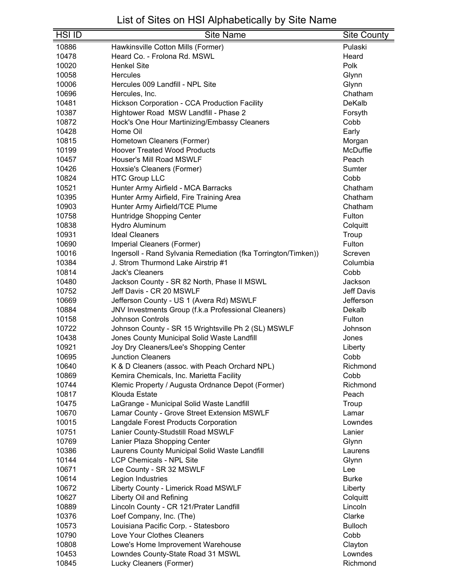| <b>HSI ID</b> | <b>Site Name</b>                                               | <b>Site County</b> |
|---------------|----------------------------------------------------------------|--------------------|
| 10886         | Hawkinsville Cotton Mills (Former)                             | Pulaski            |
| 10478         | Heard Co. - Frolona Rd. MSWL                                   | Heard              |
| 10020         | <b>Henkel Site</b>                                             | Polk               |
| 10058         | Hercules                                                       | Glynn              |
| 10006         | Hercules 009 Landfill - NPL Site                               | Glynn              |
| 10696         | Hercules, Inc.                                                 | Chatham            |
| 10481         | <b>Hickson Corporation - CCA Production Facility</b>           | DeKalb             |
| 10387         | Hightower Road MSW Landfill - Phase 2                          | Forsyth            |
| 10872         | Hock's One Hour Martinizing/Embassy Cleaners                   | Cobb               |
| 10428         | Home Oil                                                       | Early              |
| 10815         | Hometown Cleaners (Former)                                     | Morgan             |
| 10199         | <b>Hoover Treated Wood Products</b>                            | McDuffie           |
| 10457         | Houser's Mill Road MSWLF                                       | Peach              |
| 10426         | Hoxsie's Cleaners (Former)                                     | Sumter             |
| 10824         | <b>HTC Group LLC</b>                                           | Cobb               |
| 10521         | Hunter Army Airfield - MCA Barracks                            | Chatham            |
| 10395         | Hunter Army Airfield, Fire Training Area                       | Chatham            |
| 10903         | Hunter Army Airfield/TCE Plume                                 | Chatham            |
| 10758         | Huntridge Shopping Center                                      | Fulton             |
| 10838         | Hydro Aluminum                                                 | Colquitt           |
| 10931         | <b>Ideal Cleaners</b>                                          | Troup              |
| 10690         | Imperial Cleaners (Former)                                     | Fulton             |
| 10016         | Ingersoll - Rand Sylvania Remediation (fka Torrington/Timken)) | Screven            |
| 10384         | J. Strom Thurmond Lake Airstrip #1                             | Columbia           |
| 10814         | <b>Jack's Cleaners</b>                                         | Cobb               |
| 10480         | Jackson County - SR 82 North, Phase II MSWL                    | Jackson            |
| 10752         | Jeff Davis - CR 20 MSWLF                                       | <b>Jeff Davis</b>  |
| 10669         | Jefferson County - US 1 (Avera Rd) MSWLF                       | Jefferson          |
| 10884         | JNV Investments Group (f.k.a Professional Cleaners)            | Dekalb             |
| 10158         | <b>Johnson Controls</b>                                        | Fulton             |
| 10722         | Johnson County - SR 15 Wrightsville Ph 2 (SL) MSWLF            | Johnson            |
| 10438         | Jones County Municipal Solid Waste Landfill                    | Jones              |
| 10921         | Joy Dry Cleaners/Lee's Shopping Center                         | Liberty            |
| 10695         | <b>Junction Cleaners</b>                                       | Cobb               |
| 10640         | K & D Cleaners (assoc. with Peach Orchard NPL)                 | Richmond           |
| 10869         | Kemira Chemicals, Inc. Marietta Facility                       | Cobb               |
| 10744         | Klemic Property / Augusta Ordnance Depot (Former)              | Richmond           |
| 10817         | Klouda Estate                                                  | Peach              |
| 10475         | LaGrange - Municipal Solid Waste Landfill                      | Troup              |
| 10670         | Lamar County - Grove Street Extension MSWLF                    | Lamar              |
| 10015         | Langdale Forest Products Corporation                           | Lowndes            |
| 10751         | Lanier County-Studstill Road MSWLF                             | Lanier             |
| 10769         | Lanier Plaza Shopping Center                                   | Glynn              |
| 10386         | Laurens County Municipal Solid Waste Landfill                  | Laurens            |
| 10144         | <b>LCP Chemicals - NPL Site</b>                                | Glynn              |
| 10671         | Lee County - SR 32 MSWLF                                       | Lee                |
| 10614         | Legion Industries                                              | <b>Burke</b>       |
| 10672         | Liberty County - Limerick Road MSWLF                           | Liberty            |
| 10627         | Liberty Oil and Refining                                       | Colquitt           |
| 10889         | Lincoln County - CR 121/Prater Landfill                        | Lincoln            |
| 10376         | Loef Company, Inc. (The)                                       | Clarke             |
| 10573         | Louisiana Pacific Corp. - Statesboro                           | <b>Bulloch</b>     |
| 10790         | Love Your Clothes Cleaners                                     | Cobb               |
| 10808         | Lowe's Home Improvement Warehouse                              | Clayton            |
| 10453         | Lowndes County-State Road 31 MSWL                              | Lowndes            |
| 10845         | Lucky Cleaners (Former)                                        | Richmond           |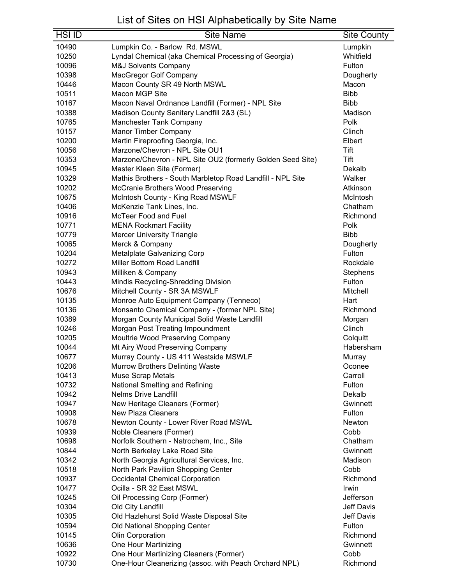| HSI ID | <b>Site Name</b>                                           | <b>Site County</b> |
|--------|------------------------------------------------------------|--------------------|
| 10490  | Lumpkin Co. - Barlow Rd. MSWL                              | Lumpkin            |
| 10250  | Lyndal Chemical (aka Chemical Processing of Georgia)       | Whitfield          |
| 10096  | <b>M&amp;J Solvents Company</b>                            | Fulton             |
| 10398  | MacGregor Golf Company                                     | Dougherty          |
| 10446  | Macon County SR 49 North MSWL                              | Macon              |
| 10511  | Macon MGP Site                                             | <b>Bibb</b>        |
| 10167  | Macon Naval Ordnance Landfill (Former) - NPL Site          | <b>Bibb</b>        |
| 10388  | Madison County Sanitary Landfill 2&3 (SL)                  | Madison            |
| 10765  | <b>Manchester Tank Company</b>                             | Polk               |
| 10157  | Manor Timber Company                                       | Clinch             |
| 10200  | Martin Fireproofing Georgia, Inc.                          | Elbert             |
| 10056  | Marzone/Chevron - NPL Site OU1                             | Tift               |
| 10353  | Marzone/Chevron - NPL Site OU2 (formerly Golden Seed Site) | Tift               |
| 10945  | Master Kleen Site (Former)                                 | Dekalb             |
| 10329  | Mathis Brothers - South Marbletop Road Landfill - NPL Site | Walker             |
| 10202  | McCranie Brothers Wood Preserving                          | Atkinson           |
| 10675  | McIntosh County - King Road MSWLF                          | McIntosh           |
| 10406  | McKenzie Tank Lines, Inc.                                  | Chatham            |
| 10916  | <b>McTeer Food and Fuel</b>                                | Richmond           |
| 10771  | <b>MENA Rockmart Facility</b>                              | Polk               |
| 10779  | <b>Mercer University Triangle</b>                          | <b>Bibb</b>        |
| 10065  | Merck & Company                                            | Dougherty          |
| 10204  | Metalplate Galvanizing Corp                                | Fulton             |
| 10272  | Miller Bottom Road Landfill                                | Rockdale           |
| 10943  | Milliken & Company                                         | Stephens           |
| 10443  | Mindis Recycling-Shredding Division                        | Fulton             |
| 10676  | Mitchell County - SR 3A MSWLF                              | Mitchell           |
| 10135  | Monroe Auto Equipment Company (Tenneco)                    | Hart               |
| 10136  | Monsanto Chemical Company - (former NPL Site)              | Richmond           |
| 10389  | Morgan County Municipal Solid Waste Landfill               | Morgan             |
| 10246  | Morgan Post Treating Impoundment                           | Clinch             |
| 10205  | Moultrie Wood Preserving Company                           | Colquitt           |
| 10044  | Mt Airy Wood Preserving Company                            | Habersham          |
| 10677  | Murray County - US 411 Westside MSWLF                      | Murray             |
| 10206  | <b>Murrow Brothers Delinting Waste</b>                     | Oconee             |
| 10413  | <b>Muse Scrap Metals</b>                                   | Carroll            |
| 10732  | National Smelting and Refining                             | Fulton             |
| 10942  | <b>Nelms Drive Landfill</b>                                | Dekalb             |
| 10947  | New Heritage Cleaners (Former)                             | Gwinnett           |
| 10908  | <b>New Plaza Cleaners</b>                                  | Fulton             |
| 10678  | Newton County - Lower River Road MSWL                      | Newton             |
| 10939  | Noble Cleaners (Former)                                    | Cobb               |
| 10698  | Norfolk Southern - Natrochem, Inc., Site                   | Chatham            |
| 10844  | North Berkeley Lake Road Site                              | Gwinnett           |
| 10342  | North Georgia Agricultural Services, Inc.                  | Madison            |
| 10518  | North Park Pavilion Shopping Center                        | Cobb               |
| 10937  | <b>Occidental Chemical Corporation</b>                     | Richmond           |
| 10477  | Ocilla - SR 32 East MSWL                                   | Irwin              |
| 10245  | Oil Processing Corp (Former)                               | Jefferson          |
| 10304  | Old City Landfill                                          | Jeff Davis         |
| 10305  | Old Hazlehurst Solid Waste Disposal Site                   | <b>Jeff Davis</b>  |
| 10594  | Old National Shopping Center                               | Fulton             |
| 10145  | Olin Corporation                                           | Richmond           |
| 10636  | One Hour Martinizing                                       | Gwinnett           |
| 10922  | One Hour Martinizing Cleaners (Former)                     | Cobb               |
| 10730  | One-Hour Cleanerizing (assoc. with Peach Orchard NPL)      | Richmond           |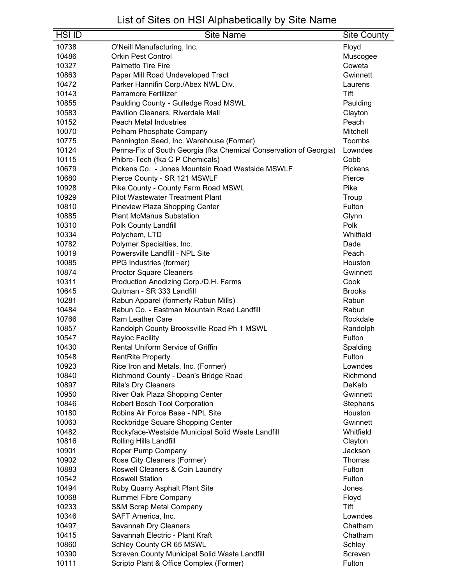| <b>HSI ID</b>  | <b>Site Name</b>                                                      | Site County        |
|----------------|-----------------------------------------------------------------------|--------------------|
| 10738          | O'Neill Manufacturing, Inc.                                           | Floyd              |
| 10486          | <b>Orkin Pest Control</b>                                             | Muscogee           |
| 10327          | <b>Palmetto Tire Fire</b>                                             | Coweta             |
| 10863          | Paper Mill Road Undeveloped Tract                                     | Gwinnett           |
| 10472          | Parker Hannifin Corp./Abex NWL Div.                                   | Laurens            |
| 10143          | <b>Parramore Fertilizer</b>                                           | Tift               |
| 10855          | Paulding County - Gulledge Road MSWL                                  | Paulding           |
| 10583          | Pavilion Cleaners, Riverdale Mall                                     | Clayton            |
| 10152          | <b>Peach Metal Industries</b>                                         | Peach              |
| 10070          | Pelham Phosphate Company                                              | Mitchell           |
| 10775          | Pennington Seed, Inc. Warehouse (Former)                              | Toombs             |
| 10124          | Perma-Fix of South Georgia (fka Chemical Conservation of Georgia)     | Lowndes            |
| 10115          | Phibro-Tech (fka C P Chemicals)                                       | Cobb               |
| 10679          | Pickens Co. - Jones Mountain Road Westside MSWLF                      | Pickens            |
| 10680          | Pierce County - SR 121 MSWLF                                          | Pierce             |
| 10928          | Pike County - County Farm Road MSWL                                   | Pike               |
| 10929          | <b>Pilot Wastewater Treatment Plant</b>                               | Troup              |
| 10810          | Pineview Plaza Shopping Center                                        | Fulton             |
| 10885          | <b>Plant McManus Substation</b>                                       | Glynn              |
| 10310          | Polk County Landfill                                                  | Polk               |
| 10334          | Polychem, LTD                                                         | Whitfield          |
| 10782          | Polymer Specialties, Inc.                                             | Dade               |
| 10019          | Powersville Landfill - NPL Site                                       | Peach              |
| 10085          |                                                                       | Houston            |
| 10874          | PPG Industries (former)                                               | Gwinnett           |
|                | Proctor Square Cleaners                                               | Cook               |
| 10311          | Production Anodizing Corp./D.H. Farms<br>Quitman - SR 333 Landfill    |                    |
| 10645          |                                                                       | <b>Brooks</b>      |
| 10281          | Rabun Apparel (formerly Rabun Mills)                                  | Rabun              |
| 10484          | Rabun Co. - Eastman Mountain Road Landfill<br><b>Ram Leather Care</b> | Rabun<br>Rockdale  |
| 10766<br>10857 |                                                                       |                    |
| 10547          | Randolph County Brooksville Road Ph 1 MSWL<br>Rayloc Facility         | Randolph<br>Fulton |
| 10430          | <b>Rental Uniform Service of Griffin</b>                              |                    |
| 10548          | <b>RentRite Property</b>                                              | Spalding<br>Fulton |
|                |                                                                       |                    |
| 10923          | Rice Iron and Metals, Inc. (Former)                                   | Lowndes            |
| 10840<br>10897 | Richmond County - Dean's Bridge Road                                  | Richmond<br>DeKalb |
| 10950          | <b>Rita's Dry Cleaners</b><br>River Oak Plaza Shopping Center         | Gwinnett           |
| 10846          | Robert Bosch Tool Corporation                                         | <b>Stephens</b>    |
| 10180          | Robins Air Force Base - NPL Site                                      | Houston            |
| 10063          | Rockbridge Square Shopping Center                                     | Gwinnett           |
| 10482          | Rockyface-Westside Municipal Solid Waste Landfill                     | Whitfield          |
| 10816          | Rolling Hills Landfill                                                | Clayton            |
| 10901          | Roper Pump Company                                                    | Jackson            |
| 10902          | Rose City Cleaners (Former)                                           | Thomas             |
| 10883          | Roswell Cleaners & Coin Laundry                                       | Fulton             |
| 10542          | <b>Roswell Station</b>                                                | Fulton             |
| 10494          |                                                                       |                    |
| 10068          | Ruby Quarry Asphalt Plant Site<br><b>Rummel Fibre Company</b>         | Jones              |
| 10233          |                                                                       | Floyd<br>Tift      |
|                | S&M Scrap Metal Company                                               | Lowndes            |
| 10346<br>10497 | SAFT America, Inc.                                                    | Chatham            |
| 10415          | Savannah Dry Cleaners<br>Savannah Electric - Plant Kraft              | Chatham            |
|                |                                                                       |                    |
| 10860<br>10390 | Schley County CR 65 MSWL                                              | Schley<br>Screven  |
| 10111          | Screven County Municipal Solid Waste Landfill                         | Fulton             |
|                | Scripto Plant & Office Complex (Former)                               |                    |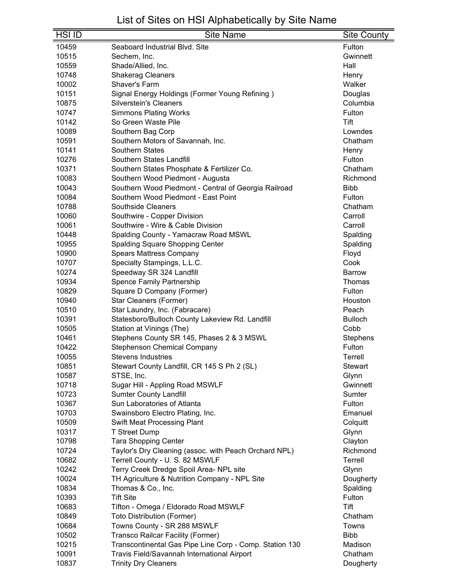| <b>HSI ID</b> | <b>Site Name</b>                                        | <b>Site County</b> |
|---------------|---------------------------------------------------------|--------------------|
| 10459         | Seaboard Industrial Blvd. Site                          | Fulton             |
| 10515         | Sechem, Inc.                                            | Gwinnett           |
| 10559         | Shade/Allied, Inc.                                      | Hall               |
| 10748         | <b>Shakerag Cleaners</b>                                | Henry              |
| 10002         | Shaver's Farm                                           | Walker             |
| 10151         | Signal Energy Holdings (Former Young Refining)          | Douglas            |
| 10875         | <b>Silverstein's Cleaners</b>                           | Columbia           |
| 10747         | <b>Simmons Plating Works</b>                            | Fulton             |
| 10142         | So Green Waste Pile                                     | Tift               |
| 10089         | Southern Bag Corp                                       | Lowndes            |
| 10591         | Southern Motors of Savannah, Inc.                       | Chatham            |
| 10141         | <b>Southern States</b>                                  | Henry              |
| 10276         | Southern States Landfill                                | Fulton             |
| 10371         | Southern States Phosphate & Fertilizer Co.              | Chatham            |
| 10083         | Southern Wood Piedmont - Augusta                        | Richmond           |
| 10043         | Southern Wood Piedmont - Central of Georgia Railroad    | <b>Bibb</b>        |
| 10084         | Southern Wood Piedmont - East Point                     | Fulton             |
| 10788         | <b>Southside Cleaners</b>                               | Chatham            |
| 10060         | Southwire - Copper Division                             | Carroll            |
| 10061         | Southwire - Wire & Cable Division                       | Carroll            |
| 10448         | Spalding County - Yamacraw Road MSWL                    | Spalding           |
| 10955         | Spalding Square Shopping Center                         | Spalding           |
| 10900         | <b>Spears Mattress Company</b>                          | Floyd              |
| 10707         | Specialty Stampings, L.L.C.                             | Cook               |
| 10274         | Speedway SR 324 Landfill                                | <b>Barrow</b>      |
| 10934         | Spence Family Partnership                               | Thomas             |
| 10829         | Square D Company (Former)                               | Fulton             |
| 10940         | Star Cleaners (Former)                                  | Houston            |
| 10510         | Star Laundry, Inc. (Fabracare)                          | Peach              |
| 10391         | Statesboro/Bulloch County Lakeview Rd. Landfill         | <b>Bulloch</b>     |
| 10505         | Station at Vinings (The)                                | Cobb               |
| 10461         | Stephens County SR 145, Phases 2 & 3 MSWL               | Stephens           |
| 10422         | <b>Stephenson Chemical Company</b>                      | Fulton             |
| 10055         | Stevens Industries                                      | Terrell            |
| 10851         | Stewart County Landfill, CR 145 S Ph 2 (SL)             | <b>Stewart</b>     |
| 10587         | STSE, Inc.                                              | Glynn              |
| 10718         | Sugar Hill - Appling Road MSWLF                         | Gwinnett           |
| 10723         | <b>Sumter County Landfill</b>                           | Sumter             |
| 10367         | Sun Laboratories of Atlanta                             | Fulton             |
| 10703         | Swainsboro Electro Plating, Inc.                        | Emanuel            |
| 10509         | Swift Meat Processing Plant                             | Colquitt           |
| 10317         | T Street Dump                                           | Glynn              |
| 10798         | <b>Tara Shopping Center</b>                             | Clayton            |
| 10724         | Taylor's Dry Cleaning (assoc. with Peach Orchard NPL)   | Richmond           |
| 10682         | Terrell County - U. S. 82 MSWLF                         | Terrell            |
| 10242         | Terry Creek Dredge Spoil Area- NPL site                 | Glynn              |
| 10024         | TH Agriculture & Nutrition Company - NPL Site           | Dougherty          |
| 10834         | Thomas & Co., Inc.                                      | Spalding           |
| 10393         | <b>Tift Site</b>                                        | Fulton             |
| 10683         | Tifton - Omega / Eldorado Road MSWLF                    | Tift               |
| 10849         | <b>Toto Distribution (Former)</b>                       | Chatham            |
| 10684         | Towns County - SR 288 MSWLF                             | Towns              |
| 10502         | Transco Railcar Facility (Former)                       | <b>Bibb</b>        |
| 10215         | Transcontinental Gas Pipe Line Corp - Comp. Station 130 | Madison            |
| 10091         | Travis Field/Savannah International Airport             | Chatham            |
| 10837         | <b>Trinity Dry Cleaners</b>                             | Dougherty          |